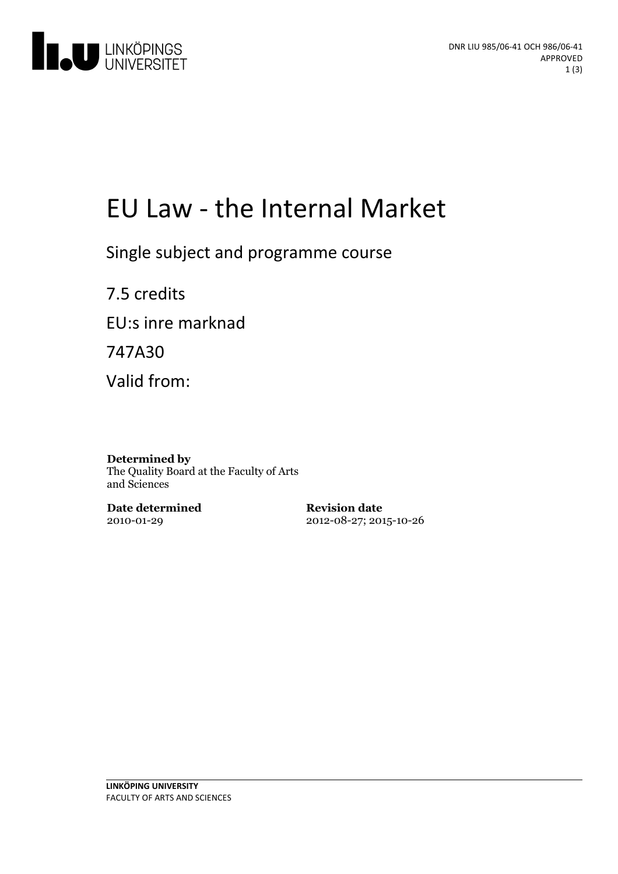

# EU Law - the Internal Market

Single subject and programme course

7.5 credits EU:s inre marknad 747A30 Valid from:

#### **Determined by** The Quality Board at the Faculty of Arts and Sciences

**Date determined** 2010-01-29

**Revision date** 2012-08-27; 2015-10-26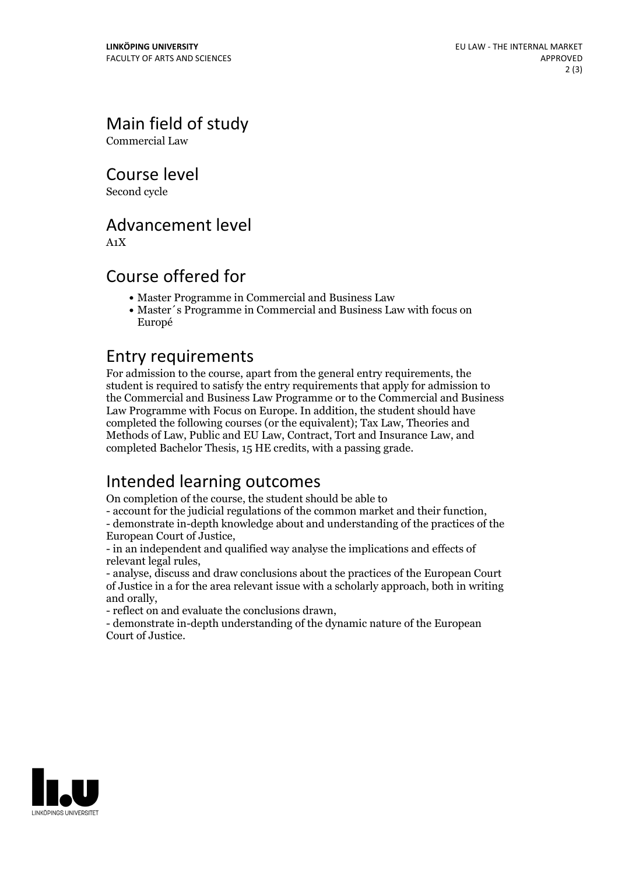Main field of study

Commercial Law

Course level

Second cycle

### Advancement level

A1X

### Course offered for

- Master Programme in Commercial and Business Law
- Master´s Programme in Commercial and Business Law with focus on Europé

#### Entry requirements

For admission to the course, apart from the general entry requirements, the student is required to satisfy the entry requirements that apply for admission to the Commercial and Business Law Programme or to the Commercial and Business Law Programme with Focus on Europe. In addition, the student should have completed the following courses (or the equivalent); Tax Law, Theories and Methods of Law, Public and EU Law, Contract, Tort and Insurance Law, and completed Bachelor Thesis, 15 HE credits, with a passing grade.

# Intended learning outcomes

On completion of the course, the student should be able to

- account for the judicial regulations of the common market and their function, - demonstrate in-depth knowledge about and understanding of the practices of the

European Court of Justice, - in an independent and qualified way analyse the implications and effects of

relevant legal rules, - analyse, discuss and draw conclusions about the practices of the European Court

of Justice in a for the area relevant issue with a scholarly approach, both in writing and orally,<br>- reflect on and evaluate the conclusions drawn,<br>- demonstrate in-depth understanding of the dynamic nature of the European

Court of Justice.